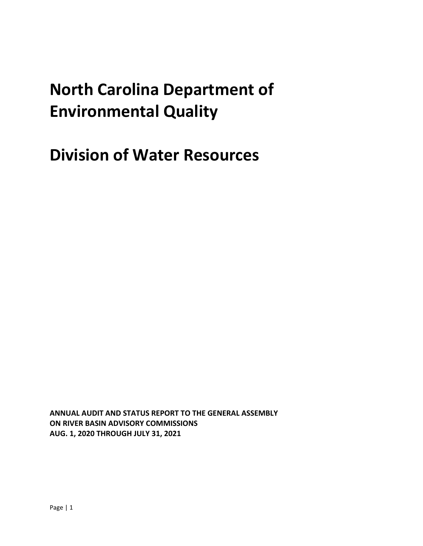# **North Carolina Department of Environmental Quality**

**Division of Water Resources**

**ANNUAL AUDIT AND STATUS REPORT TO THE GENERAL ASSEMBLY ON RIVER BASIN ADVISORY COMMISSIONS AUG. 1, 2020 THROUGH JULY 31, 2021**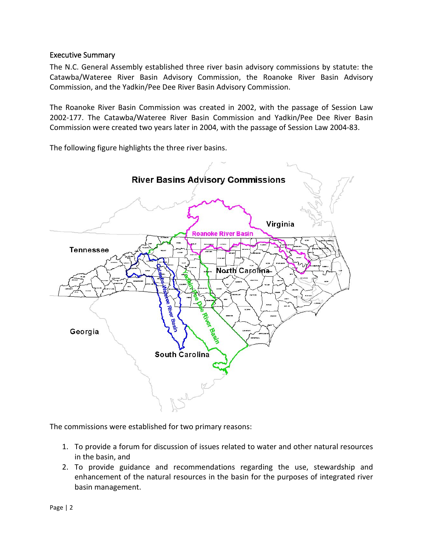### Executive Summary

The N.C. General Assembly established three river basin advisory commissions by statute: the Catawba/Wateree River Basin Advisory Commission, the Roanoke River Basin Advisory Commission, and the Yadkin/Pee Dee River Basin Advisory Commission.

The Roanoke River Basin Commission was created in 2002, with the passage of Session Law 2002-177. The Catawba/Wateree River Basin Commission and Yadkin/Pee Dee River Basin Commission were created two years later in 2004, with the passage of Session Law 2004-83.

The following figure highlights the three river basins.



The commissions were established for two primary reasons:

- 1. To provide a forum for discussion of issues related to water and other natural resources in the basin, and
- 2. To provide guidance and recommendations regarding the use, stewardship and enhancement of the natural resources in the basin for the purposes of integrated river basin management.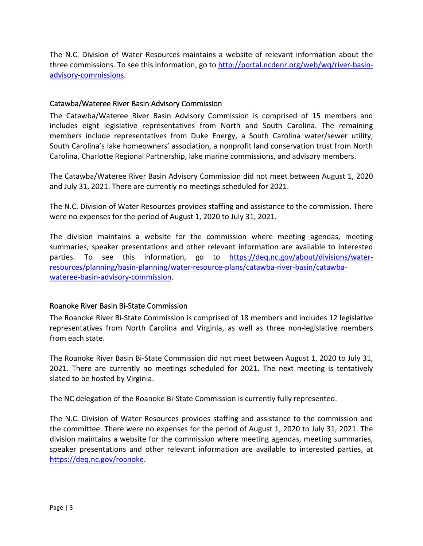The N.C. Division of Water Resources maintains a website of relevant information about the three commissions. To see this information, go to [http://portal.ncdenr.org/web/wq/river-basin](http://portal.ncdenr.org/web/wq/river-basin-advisory-commissions)[advisory-commissions.](http://portal.ncdenr.org/web/wq/river-basin-advisory-commissions)

### Catawba/Wateree River Basin Advisory Commission

The Catawba/Wateree River Basin Advisory Commission is comprised of 15 members and includes eight legislative representatives from North and South Carolina. The remaining members include representatives from Duke Energy, a South Carolina water/sewer utility, South Carolina's lake homeowners' association, a nonprofit land conservation trust from North Carolina, Charlotte Regional Partnership, lake marine commissions, and advisory members.

The Catawba/Wateree River Basin Advisory Commission did not meet between August 1, 2020 and July 31, 2021. There are currently no meetings scheduled for 2021.

The N.C. Division of Water Resources provides staffing and assistance to the commission. There were no expenses for the period of August 1, 2020 to July 31, 2021.

The division maintains a website for the commission where meeting agendas, meeting summaries, speaker presentations and other relevant information are available to interested parties. To see this information, go to [https://deq.nc.gov/about/divisions/water](https://deq.nc.gov/about/divisions/water-resources/planning/basin-planning/water-resource-plans/catawba-river-basin/catawba-wateree-basin-advisory-commission)[resources/planning/basin-planning/water-resource-plans/catawba-river-basin/catawba](https://deq.nc.gov/about/divisions/water-resources/planning/basin-planning/water-resource-plans/catawba-river-basin/catawba-wateree-basin-advisory-commission)[wateree-basin-advisory-commission.](https://deq.nc.gov/about/divisions/water-resources/planning/basin-planning/water-resource-plans/catawba-river-basin/catawba-wateree-basin-advisory-commission)

#### Roanoke River Basin Bi-State Commission

The Roanoke River Bi-State Commission is comprised of 18 members and includes 12 legislative representatives from North Carolina and Virginia, as well as three non-legislative members from each state.

The Roanoke River Basin Bi-State Commission did not meet between August 1, 2020 to July 31, 2021. There are currently no meetings scheduled for 2021. The next meeting is tentatively slated to be hosted by Virginia.

The NC delegation of the Roanoke Bi-State Commission is currently fully represented.

The N.C. Division of Water Resources provides staffing and assistance to the commission and the committee. There were no expenses for the period of August 1, 2020 to July 31, 2021. The division maintains a website for the commission where meeting agendas, meeting summaries, speaker presentations and other relevant information are available to interested parties, at [https://deq.nc.gov/roanoke.](https://deq.nc.gov/roanoke)